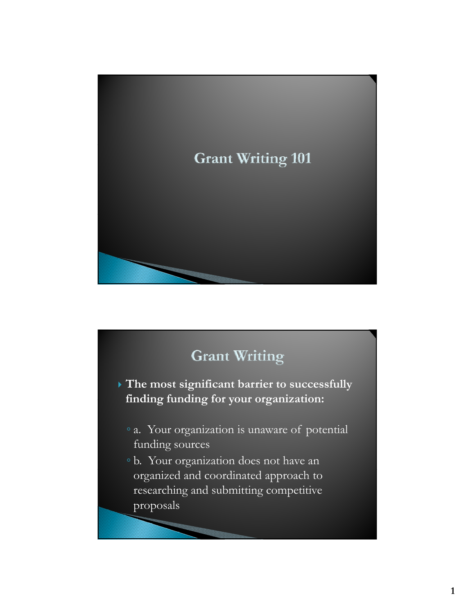

# **Grant Writing**

 **The most significant barrier to successfully finding funding for your organization: finding funding for your**

- a. Your organization is unaware of potential funding sources
- b. Your organization does not have an organized and coordinated approach to researching and submitting competitive proposals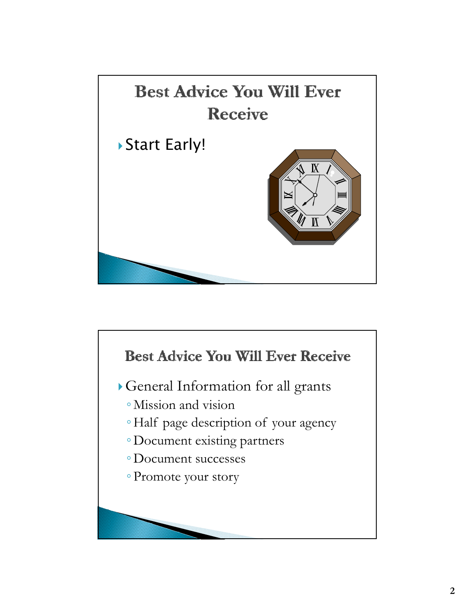

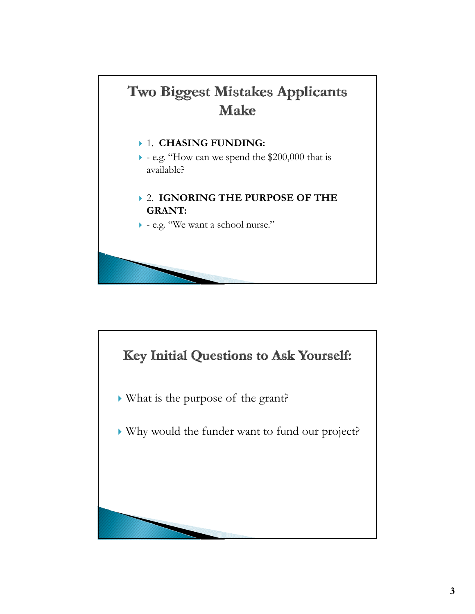

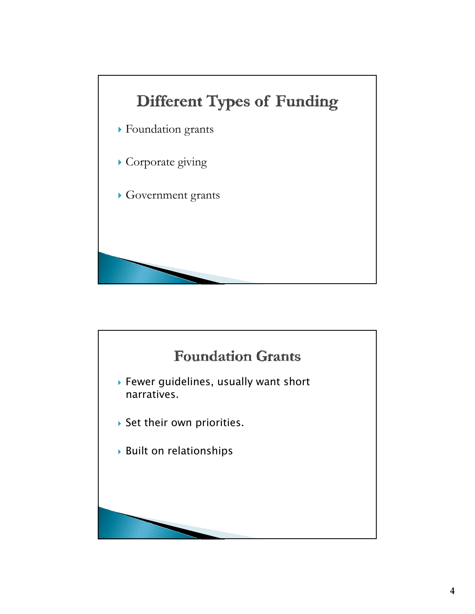

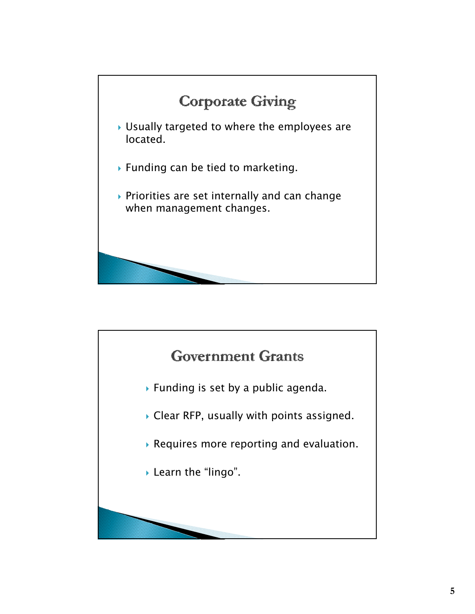

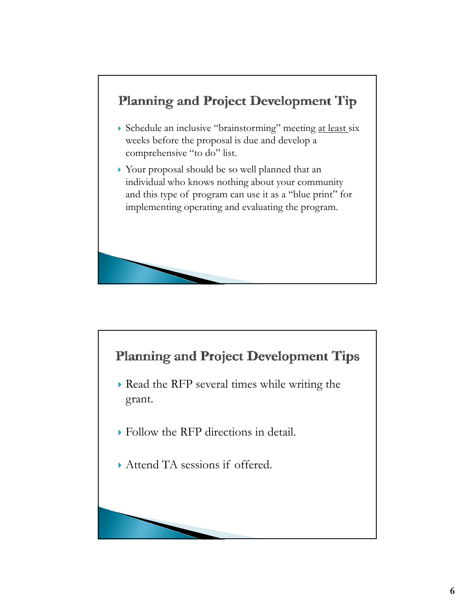

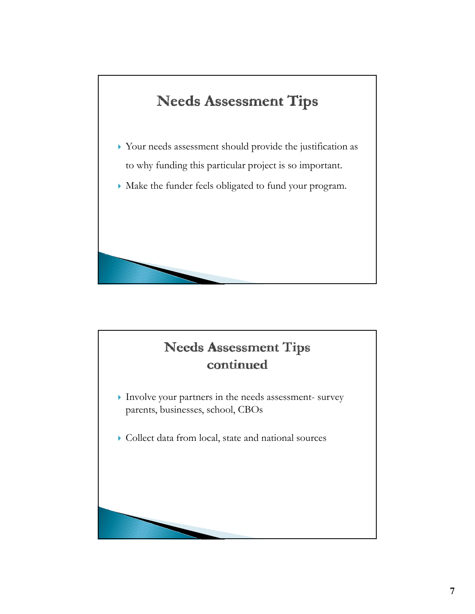# **Needs Assessment Tips**

- $\blacktriangleright$  Your needs assessment should provide the justification as to why funding this particular project is so important.
- Make the funder feels obligated to fund your program.

#### **Needs Assessment Tips** continued

- $\blacktriangleright$  Involve your partners in the needs assessment- survey parents, businesses, school, CBOs
- Collect data from local, state and national sources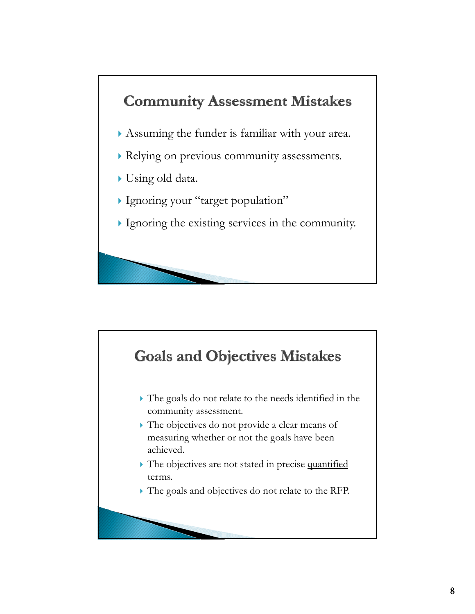# **Community Assessment Mistakes**

- Assuming the funder is familiar with your area.
- Relying on previous community assessments.
- Using old data.
- Ignoring your "target population"
- Ignoring the existing services in the community.

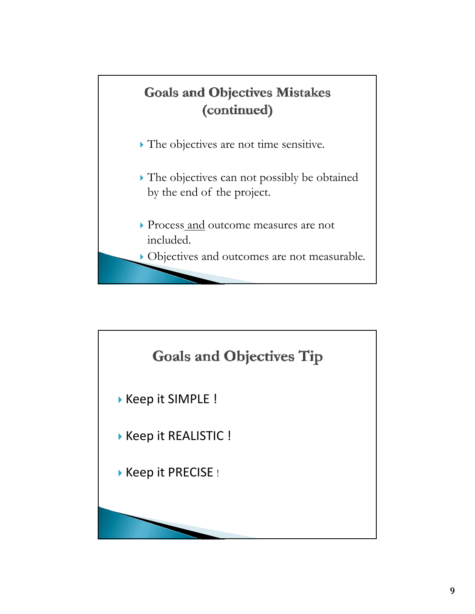

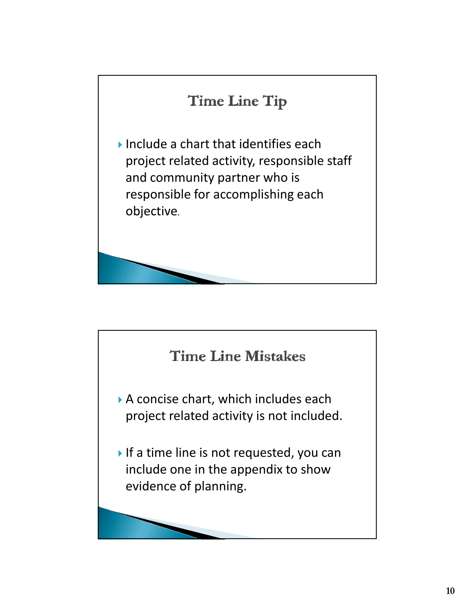

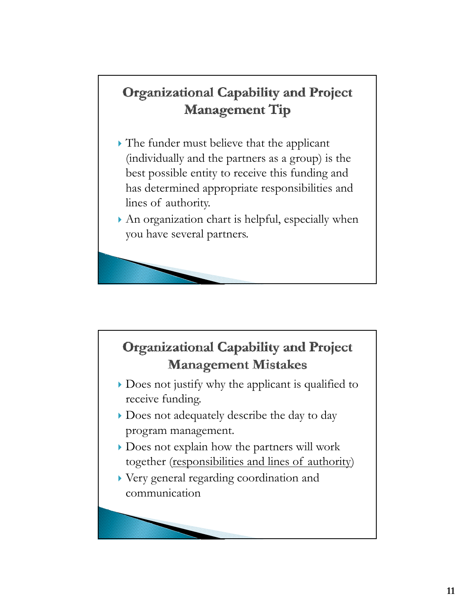# **Organizational Capability and Project Management Tip**

- $\blacktriangleright$  The funder must believe that the applicant (individually and the partners as a group) is the best possible entity to receive this funding and has determined appropriate responsibilities and lines of authority.
- An organization chart is helpful, especially when you have several partners.

### **Organizational Capability and Project Management Mistakes**

- Does not justify why the applicant is qualified to receive funding.
- Does not adequately describe the day to day program management.
- Does not explain how the partners will work together (responsibilities and lines of authority)
- Very general regarding coordination and communication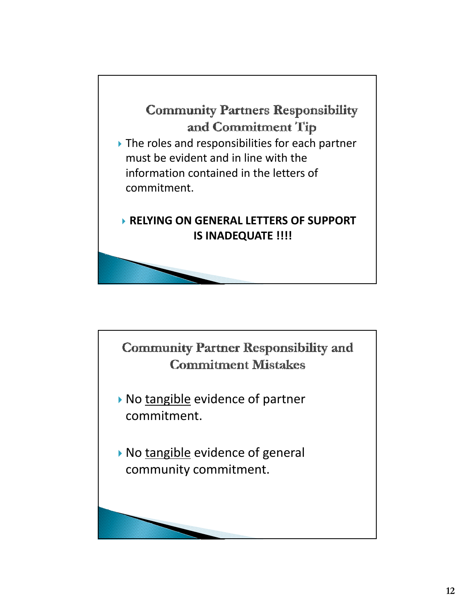### **Community Partners Responsibility** and Commitment Tip

▶ The roles and responsibilities for each partner must be evident and in line with the information contained in the letters of commitment.

#### **RELYING ON GENERAL LETTERS OF SUPPORT IS INADEQUATE !!!!**

**Community Partner Responsibility and Commitment Mistakes** 

- No tangible evidence of partner commitment.
- No tangible evidence of general community commitment.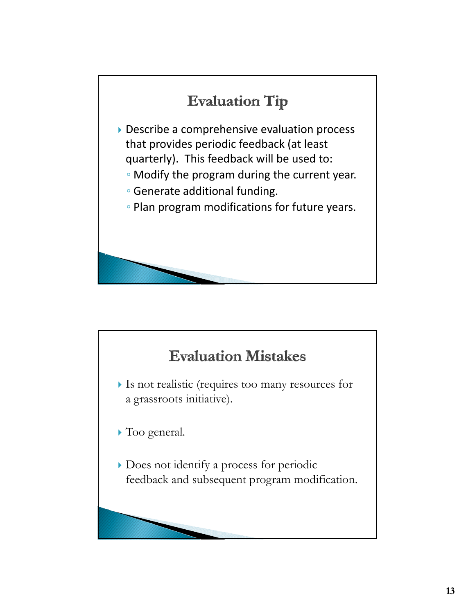

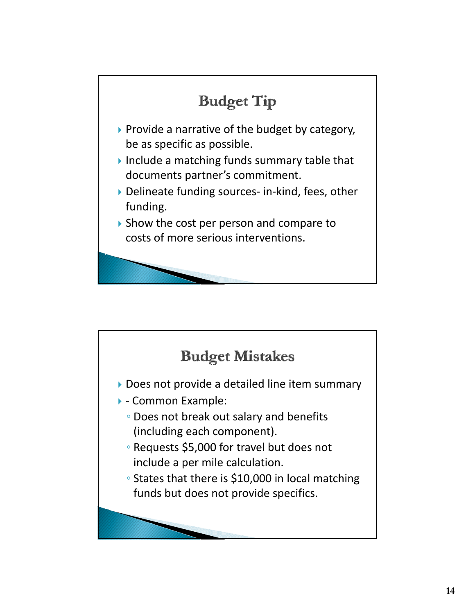

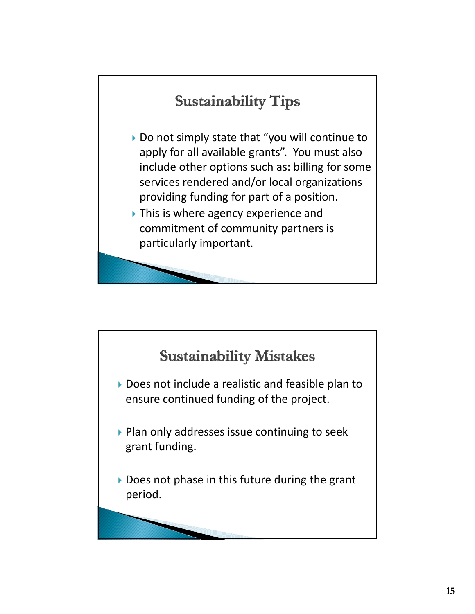# **Sustainability Tips**

- ▶ Do not simply state that "you will continue to apply for all available grants". You must also include other options such as: billing for some services rendered and/or local organizations providing funding for part of a position.
- ▶ This is where agency experience and commitment of community partners is particularly important.